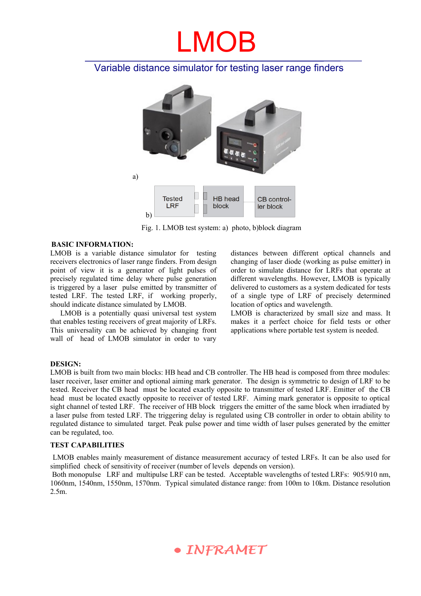# LMOB

### Variable distance simulator for testing laser range finders



Fig. 1. LMOB test system: a) photo, b)block diagram

#### **BASIC INFORMATION:**

LMOB is a variable distance simulator for testing receivers electronics of laser range finders. From design point of view it is a generator of light pulses of precisely regulated time delay where pulse generation is triggered by a laser pulse emitted by transmitter of tested LRF. The tested LRF, if working properly, should indicate distance simulated by LMOB.

LMOB is a potentially quasi universal test system that enables testing receivers of great majority of LRFs. This universality can be achieved by changing front wall of head of LMOB simulator in order to vary

distances between different optical channels and changing of laser diode (working as pulse emitter) in order to simulate distance for LRFs that operate at different wavelengths. However, LMOB is typically delivered to customers as a system dedicated for tests of a single type of LRF of precisely determined location of optics and wavelength.

LMOB is characterized by small size and mass. It makes it a perfect choice for field tests or other applications where portable test system is needed.

#### **DESIGN:**

LMOB is built from two main blocks: HB head and CB controller. The HB head is composed from three modules: laser receiver, laser emitter and optional aiming mark generator. The design is symmetric to design of LRF to be tested. Receiver the CB head must be located exactly opposite to transmitter of tested LRF. Emitter of the CB head must be located exactly opposite to receiver of tested LRF. Aiming mark generator is opposite to optical sight channel of tested LRF. The receiver of HB block triggers the emitter of the same block when irradiated by a laser pulse from tested LRF. The triggering delay is regulated using CB controller in order to obtain ability to regulated distance to simulated target. Peak pulse power and time width of laser pulses generated by the emitter can be regulated, too.

#### **TEST CAPABILITIES**

 LMOB enables mainly measurement of distance measurement accuracy of tested LRFs. It can be also used for simplified check of sensitivity of receiver (number of levels depends on version).

 Both monopulse LRF and multipulse LRF can be tested. Acceptable wavelengths of tested LRFs: 905/910 nm, 1060nm, 1540nm, 1550nm, 1570nm. Typical simulated distance range: from 100m to 10km. Distance resolution 2.5m.